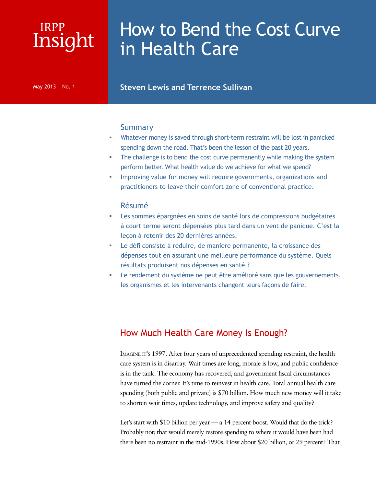## Insight IRPP

# How to Bend the Cost Curve in Health Care

#### May 2013 | No. 1 **Steven Lewis and Terrence Sullivan**

#### **Summary**

- Whatever money is saved through short-term restraint will be lost in panicked spending down the road. That's been the lesson of the past 20 years.
- The challenge is to bend the cost curve permanently while making the system perform better. What health value do we achieve for what we spend?
- Improving value for money will require governments, organizations and practitioners to leave their comfort zone of conventional practice.

#### Résumé

- Les sommes épargnées en soins de santé lors de compressions budgétaires à court terme seront dépensées plus tard dans un vent de panique. C'est la leçon à retenir des 20 dernières années.
- Le défi consiste à réduire, de manière permanente, la croissance des dépenses tout en assurant une meilleure performance du système. Quels résultats produisent nos dépenses en santé ?
- Le rendement du système ne peut être amélioré sans que les gouvernements, les organismes et les intervenants changent leurs façons de faire.

## How Much Health Care Money Is Enough?

IMAGINE IT's 1997. After four years of unprecedented spending restraint, the health care system is in disarray. Wait times are long, morale is low, and public confidence is in the tank. The economy has recovered, and government fiscal circumstances have turned the corner. It's time to reinvest in health care. Total annual health care spending (both public and private) is \$70 billion. How much new money will it take to shorten wait times, update technology, and improve safety and quality?

Let's start with \$10 billion per year — a 14 percent boost. Would that do the trick? Probably not; that would merely restore spending to where it would have been had there been no restraint in the mid-1990s. How about \$20 billion, or 29 percent? That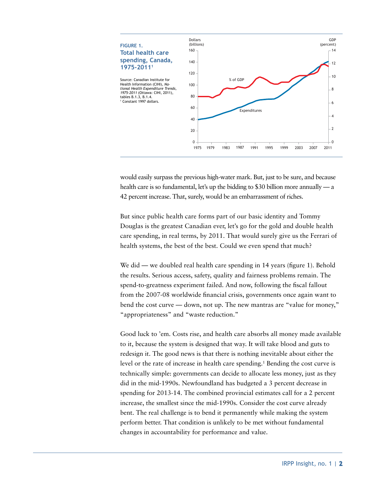

would easily surpass the previous high-water mark. But, just to be sure, and because health care is so fundamental, let's up the bidding to \$30 billion more annually — a 42 percent increase. That, surely, would be an embarrassment of riches.

But since public health care forms part of our basic identity and Tommy Douglas is the greatest Canadian ever, let's go for the gold and double health care spending, in real terms, by 2011. That would surely give us the Ferrari of health systems, the best of the best. Could we even spend that much?

We did — we doubled real health care spending in 14 years (figure 1). Behold the results. Serious access, safety, quality and fairness problems remain. The spend-to-greatness experiment failed. And now, following the fiscal fallout from the 2007-08 worldwide financial crisis, governments once again want to bend the cost curve — down, not up. The new mantras are "value for money," "appropriateness" and "waste reduction."

Good luck to 'em. Costs rise, and health care absorbs all money made available to it, because the system is designed that way. It will take blood and guts to redesign it. The good news is that there is nothing inevitable about either the level or the rate of increase in health care spending.<sup>1</sup> Bending the cost curve is technically simple: governments can decide to allocate less money, just as they did in the mid-1990s. Newfoundland has budgeted a 3 percent decrease in spending for 2013-14. The combined provincial estimates call for a 2 percent increase, the smallest since the mid-1990s. Consider the cost curve already bent. The real challenge is to bend it permanently while making the system perform better. That condition is unlikely to be met without fundamental changes in accountability for performance and value.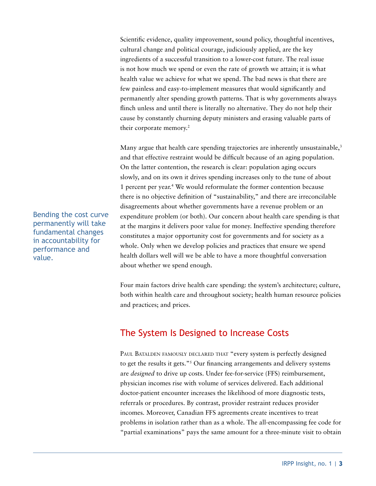Scientific evidence, quality improvement, sound policy, thoughtful incentives, cultural change and political courage, judiciously applied, are the key ingredients of a successful transition to a lower-cost future. The real issue is not how much we spend or even the rate of growth we attain; it is what health value we achieve for what we spend. The bad news is that there are few painless and easy-to-implement measures that would significantly and permanently alter spending growth patterns. That is why governments always flinch unless and until there is literally no alternative. They do not help their cause by constantly churning deputy ministers and erasing valuable parts of their corporate memory.<sup>2</sup>

Many argue that health care spending trajectories are inherently unsustainable, $3$ and that effective restraint would be difficult because of an aging population. On the latter contention, the research is clear: population aging occurs slowly, and on its own it drives spending increases only to the tune of about 1 percent per year.4 We would reformulate the former contention because there is no objective definition of "sustainability," and there are irreconcilable disagreements about whether governments have a revenue problem or an expenditure problem (or both). Our concern about health care spending is that at the margins it delivers poor value for money. Ineffective spending therefore constitutes a major opportunity cost for governments and for society as a whole. Only when we develop policies and practices that ensure we spend health dollars well will we be able to have a more thoughtful conversation about whether we spend enough.

Four main factors drive health care spending: the system's architecture; culture, both within health care and throughout society; health human resource policies and practices; and prices.

## The System Is Designed to Increase Costs

PAUL BATALDEN FAMOUSLY DECLARED THAT "every system is perfectly designed to get the results it gets."5 Our financing arrangements and delivery systems are *designed* to drive up costs. Under fee-for-service (FFS) reimbursement, physician incomes rise with volume of services delivered. Each additional doctor-patient encounter increases the likelihood of more diagnostic tests, referrals or procedures. By contrast, provider restraint reduces provider incomes. Moreover, Canadian FFS agreements create incentives to treat problems in isolation rather than as a whole. The all-encompassing fee code for "partial examinations" pays the same amount for a three-minute visit to obtain

Bending the cost curve permanently will take fundamental changes in accountability for performance and value.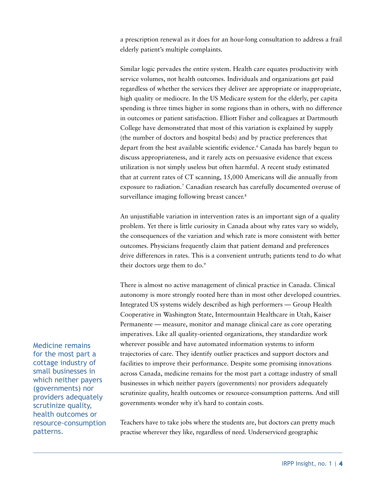a prescription renewal as it does for an hour-long consultation to address a frail elderly patient's multiple complaints.

Similar logic pervades the entire system. Health care equates productivity with service volumes, not health outcomes. Individuals and organizations get paid regardless of whether the services they deliver are appropriate or inappropriate, high quality or mediocre. In the US Medicare system for the elderly, per capita spending is three times higher in some regions than in others, with no difference in outcomes or patient satisfaction. Elliott Fisher and colleagues at Dartmouth College have demonstrated that most of this variation is explained by supply (the number of doctors and hospital beds) and by practice preferences that depart from the best available scientific evidence.6 Canada has barely begun to discuss appropriateness, and it rarely acts on persuasive evidence that excess utilization is not simply useless but often harmful. A recent study estimated that at current rates of CT scanning, 15,000 Americans will die annually from exposure to radiation.7 Canadian research has carefully documented overuse of surveillance imaging following breast cancer.<sup>8</sup>

An unjustifiable variation in intervention rates is an important sign of a quality problem. Yet there is little curiosity in Canada about why rates vary so widely, the consequences of the variation and which rate is more consistent with better outcomes. Physicians frequently claim that patient demand and preferences drive differences in rates. This is a convenient untruth; patients tend to do what their doctors urge them to do.<sup>9</sup>

There is almost no active management of clinical practice in Canada. Clinical autonomy is more strongly rooted here than in most other developed countries. Integrated US systems widely described as high performers — Group Health Cooperative in Washington State, Intermountain Healthcare in Utah, Kaiser Permanente — measure, monitor and manage clinical care as core operating imperatives. Like all quality-oriented organizations, they standardize work wherever possible and have automated information systems to inform trajectories of care. They identify outlier practices and support doctors and facilities to improve their performance. Despite some promising innovations across Canada, medicine remains for the most part a cottage industry of small businesses in which neither payers (governments) nor providers adequately scrutinize quality, health outcomes or resource-consumption patterns. And still governments wonder why it's hard to contain costs.

Teachers have to take jobs where the students are, but doctors can pretty much practise wherever they like, regardless of need. Underserviced geographic

Medicine remains for the most part a cottage industry of small businesses in which neither payers (governments) nor providers adequately scrutinize quality, health outcomes or resource-consumption patterns.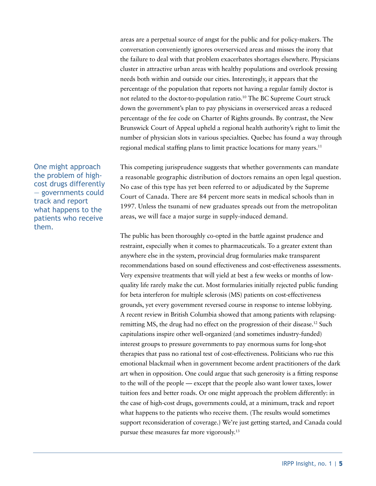areas are a perpetual source of angst for the public and for policy-makers. The conversation conveniently ignores overserviced areas and misses the irony that the failure to deal with that problem exacerbates shortages elsewhere. Physicians cluster in attractive urban areas with healthy populations and overlook pressing needs both within and outside our cities. Interestingly, it appears that the percentage of the population that reports not having a regular family doctor is not related to the doctor-to-population ratio.10 The BC Supreme Court struck down the government's plan to pay physicians in overserviced areas a reduced percentage of the fee code on Charter of Rights grounds. By contrast, the New Brunswick Court of Appeal upheld a regional health authority's right to limit the number of physician slots in various specialties. Quebec has found a way through regional medical staffing plans to limit practice locations for many years.<sup>11</sup>

One might approach the problem of highcost drugs differently — governments could track and report what happens to the patients who receive them.

This competing jurisprudence suggests that whether governments can mandate a reasonable geographic distribution of doctors remains an open legal question. No case of this type has yet been referred to or adjudicated by the Supreme Court of Canada. There are 84 percent more seats in medical schools than in 1997. Unless the tsunami of new graduates spreads out from the metropolitan areas, we will face a major surge in supply-induced demand.

The public has been thoroughly co-opted in the battle against prudence and restraint, especially when it comes to pharmaceuticals. To a greater extent than anywhere else in the system, provincial drug formularies make transparent recommendations based on sound effectiveness and cost-effectiveness assessments. Very expensive treatments that will yield at best a few weeks or months of lowquality life rarely make the cut. Most formularies initially rejected public funding for beta interferon for multiple sclerosis (MS) patients on cost-effectiveness grounds, yet every government reversed course in response to intense lobbying. A recent review in British Columbia showed that among patients with relapsingremitting MS, the drug had no effect on the progression of their disease.<sup>12</sup> Such capitulations inspire other well-organized (and sometimes industry-funded) interest groups to pressure governments to pay enormous sums for long-shot therapies that pass no rational test of cost-effectiveness. Politicians who rue this emotional blackmail when in government become ardent practitioners of the dark art when in opposition. One could argue that such generosity is a fitting response to the will of the people — except that the people also want lower taxes, lower tuition fees and better roads. Or one might approach the problem differently: in the case of high-cost drugs, governments could, at a minimum, track and report what happens to the patients who receive them. (The results would sometimes support reconsideration of coverage.) We're just getting started, and Canada could pursue these measures far more vigorously.13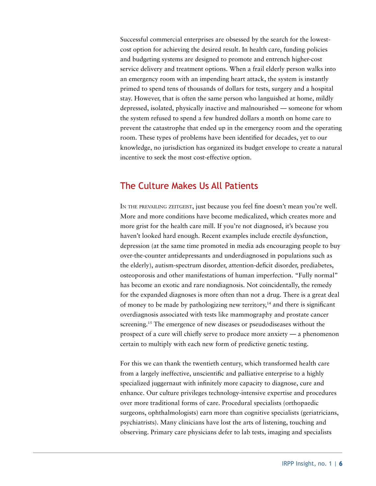Successful commercial enterprises are obsessed by the search for the lowestcost option for achieving the desired result. In health care, funding policies and budgeting systems are designed to promote and entrench higher-cost service delivery and treatment options. When a frail elderly person walks into an emergency room with an impending heart attack, the system is instantly primed to spend tens of thousands of dollars for tests, surgery and a hospital stay. However, that is often the same person who languished at home, mildly depressed, isolated, physically inactive and malnourished — someone for whom the system refused to spend a few hundred dollars a month on home care to prevent the catastrophe that ended up in the emergency room and the operating room. These types of problems have been identified for decades, yet to our knowledge, no jurisdiction has organized its budget envelope to create a natural incentive to seek the most cost-effective option.

## The Culture Makes Us All Patients

IN THE PREVAILING ZEITGEIST, just because you feel fine doesn't mean you're well. More and more conditions have become medicalized, which creates more and more grist for the health care mill. If you're not diagnosed, it's because you haven't looked hard enough. Recent examples include erectile dysfunction, depression (at the same time promoted in media ads encouraging people to buy over-the-counter antidepressants and underdiagnosed in populations such as the elderly), autism-spectrum disorder, attention-deficit disorder, prediabetes, osteoporosis and other manifestations of human imperfection. "Fully normal" has become an exotic and rare nondiagnosis. Not coincidentally, the remedy for the expanded diagnoses is more often than not a drug. There is a great deal of money to be made by pathologizing new territory,<sup>14</sup> and there is significant overdiagnosis associated with tests like mammography and prostate cancer screening.<sup>15</sup> The emergence of new diseases or pseudodiseases without the prospect of a cure will chiefly serve to produce more anxiety — a phenomenon certain to multiply with each new form of predictive genetic testing.

For this we can thank the twentieth century, which transformed health care from a largely ineffective, unscientific and palliative enterprise to a highly specialized juggernaut with infinitely more capacity to diagnose, cure and enhance. Our culture privileges technology-intensive expertise and procedures over more traditional forms of care. Procedural specialists (orthopaedic surgeons, ophthalmologists) earn more than cognitive specialists (geriatricians, psychiatrists). Many clinicians have lost the arts of listening, touching and observing. Primary care physicians defer to lab tests, imaging and specialists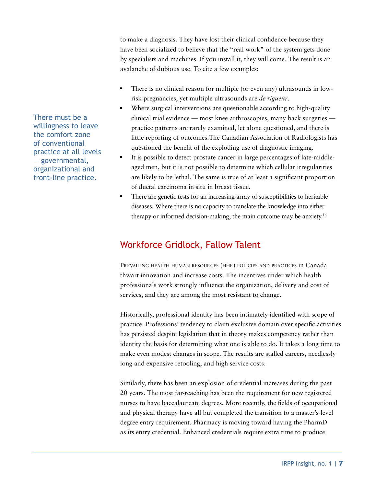to make a diagnosis. They have lost their clinical confidence because they have been socialized to believe that the "real work" of the system gets done by specialists and machines. If you install it, they will come. The result is an avalanche of dubious use. To cite a few examples:

- There is no clinical reason for multiple (or even any) ultrasounds in lowrisk pregnancies, yet multiple ultrasounds are *de rigueur*.
- Where surgical interventions are questionable according to high-quality clinical trial evidence — most knee arthroscopies, many back surgeries practice patterns are rarely examined, let alone questioned, and there is little reporting of outcomes.The Canadian Association of Radiologists has questioned the benefit of the exploding use of diagnostic imaging.
- It is possible to detect prostate cancer in large percentages of late-middleaged men, but it is not possible to determine which cellular irregularities are likely to be lethal. The same is true of at least a significant proportion of ductal carcinoma in situ in breast tissue.
- There are genetic tests for an increasing array of susceptibilities to heritable diseases. Where there is no capacity to translate the knowledge into either therapy or informed decision-making, the main outcome may be anxiety.16

## Workforce Gridlock, Fallow Talent

PREVAILING HEALTH HUMAN RESOURCES (HHR) POLICIES AND PRACTICES in Canada thwart innovation and increase costs. The incentives under which health professionals work strongly influence the organization, delivery and cost of services, and they are among the most resistant to change.

Historically, professional identity has been intimately identified with scope of practice. Professions' tendency to claim exclusive domain over specific activities has persisted despite legislation that in theory makes competency rather than identity the basis for determining what one is able to do. It takes a long time to make even modest changes in scope. The results are stalled careers, needlessly long and expensive retooling, and high service costs.

Similarly, there has been an explosion of credential increases during the past 20 years. The most far-reaching has been the requirement for new registered nurses to have baccalaureate degrees. More recently, the fields of occupational and physical therapy have all but completed the transition to a master's-level degree entry requirement. Pharmacy is moving toward having the PharmD as its entry credential. Enhanced credentials require extra time to produce

There must be a willingness to leave the comfort zone of conventional practice at all levels — governmental, organizational and front-line practice.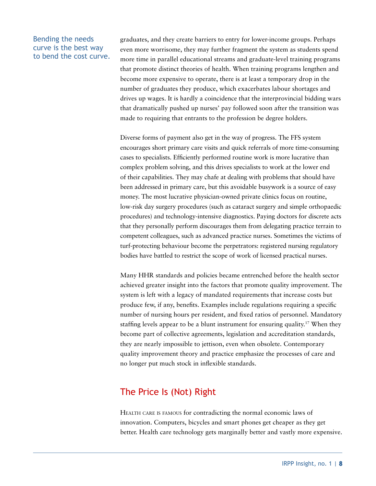#### Bending the needs curve is the best way to bend the cost curve.

graduates, and they create barriers to entry for lower-income groups. Perhaps even more worrisome, they may further fragment the system as students spend more time in parallel educational streams and graduate-level training programs that promote distinct theories of health. When training programs lengthen and become more expensive to operate, there is at least a temporary drop in the number of graduates they produce, which exacerbates labour shortages and drives up wages. It is hardly a coincidence that the interprovincial bidding wars that dramatically pushed up nurses' pay followed soon after the transition was made to requiring that entrants to the profession be degree holders.

Diverse forms of payment also get in the way of progress. The FFS system encourages short primary care visits and quick referrals of more time-consuming cases to specialists. Efficiently performed routine work is more lucrative than complex problem solving, and this drives specialists to work at the lower end of their capabilities. They may chafe at dealing with problems that should have been addressed in primary care, but this avoidable busywork is a source of easy money. The most lucrative physician-owned private clinics focus on routine, low-risk day surgery procedures (such as cataract surgery and simple orthopaedic procedures) and technology-intensive diagnostics. Paying doctors for discrete acts that they personally perform discourages them from delegating practice terrain to competent colleagues, such as advanced practice nurses. Sometimes the victims of turf-protecting behaviour become the perpetrators: registered nursing regulatory bodies have battled to restrict the scope of work of licensed practical nurses.

Many HHR standards and policies became entrenched before the health sector achieved greater insight into the factors that promote quality improvement. The system is left with a legacy of mandated requirements that increase costs but produce few, if any, benefits. Examples include regulations requiring a specific number of nursing hours per resident, and fixed ratios of personnel. Mandatory staffing levels appear to be a blunt instrument for ensuring quality.<sup>17</sup> When they become part of collective agreements, legislation and accreditation standards, they are nearly impossible to jettison, even when obsolete. Contemporary quality improvement theory and practice emphasize the processes of care and no longer put much stock in inflexible standards.

## The Price Is (Not) Right

Health care is famous for contradicting the normal economic laws of innovation. Computers, bicycles and smart phones get cheaper as they get better. Health care technology gets marginally better and vastly more expensive.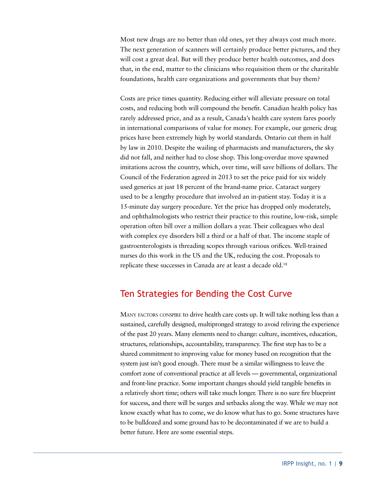Most new drugs are no better than old ones, yet they always cost much more. The next generation of scanners will certainly produce better pictures, and they will cost a great deal. But will they produce better health outcomes, and does that, in the end, matter to the clinicians who requisition them or the charitable foundations, health care organizations and governments that buy them?

Costs are price times quantity. Reducing either will alleviate pressure on total costs, and reducing both will compound the benefit. Canadian health policy has rarely addressed price, and as a result, Canada's health care system fares poorly in international comparisons of value for money. For example, our generic drug prices have been extremely high by world standards. Ontario cut them in half by law in 2010. Despite the wailing of pharmacists and manufacturers, the sky did not fall, and neither had to close shop. This long-overdue move spawned imitations across the country, which, over time, will save billions of dollars. The Council of the Federation agreed in 2013 to set the price paid for six widely used generics at just 18 percent of the brand-name price. Cataract surgery used to be a lengthy procedure that involved an in-patient stay. Today it is a 15-minute day surgery procedure. Yet the price has dropped only moderately, and ophthalmologists who restrict their practice to this routine, low-risk, simple operation often bill over a million dollars a year. Their colleagues who deal with complex eye disorders bill a third or a half of that. The income staple of gastroenterologists is threading scopes through various orifices. Well-trained nurses do this work in the US and the UK, reducing the cost. Proposals to replicate these successes in Canada are at least a decade old.<sup>18</sup>

### Ten Strategies for Bending the Cost Curve

MANY FACTORS CONSPIRE to drive health care costs up. It will take nothing less than a sustained, carefully designed, multipronged strategy to avoid reliving the experience of the past 20 years. Many elements need to change: culture, incentives, education, structures, relationships, accountability, transparency. The first step has to be a shared commitment to improving value for money based on recognition that the system just isn't good enough. There must be a similar willingness to leave the comfort zone of conventional practice at all levels — governmental, organizational and front-line practice. Some important changes should yield tangible benefits in a relatively short time; others will take much longer. There is no sure fire blueprint for success, and there will be surges and setbacks along the way. While we may not know exactly what has to come, we do know what has to go. Some structures have to be bulldozed and some ground has to be decontaminated if we are to build a better future. Here are some essential steps.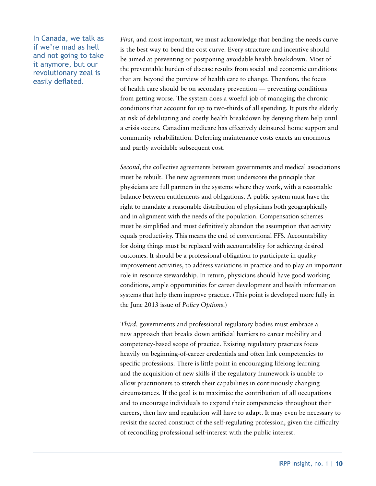In Canada, we talk as if we're mad as hell and not going to take it anymore, but our revolutionary zeal is easily deflated.

*First*, and most important, we must acknowledge that bending the needs curve is the best way to bend the cost curve. Every structure and incentive should be aimed at preventing or postponing avoidable health breakdown. Most of the preventable burden of disease results from social and economic conditions that are beyond the purview of health care to change. Therefore, the focus of health care should be on secondary prevention — preventing conditions from getting worse. The system does a woeful job of managing the chronic conditions that account for up to two-thirds of all spending. It puts the elderly at risk of debilitating and costly health breakdown by denying them help until a crisis occurs. Canadian medicare has effectively deinsured home support and community rehabilitation. Deferring maintenance costs exacts an enormous and partly avoidable subsequent cost.

*Second*, the collective agreements between governments and medical associations must be rebuilt. The new agreements must underscore the principle that physicians are full partners in the systems where they work, with a reasonable balance between entitlements and obligations. A public system must have the right to mandate a reasonable distribution of physicians both geographically and in alignment with the needs of the population. Compensation schemes must be simplified and must definitively abandon the assumption that activity equals productivity. This means the end of conventional FFS. Accountability for doing things must be replaced with accountability for achieving desired outcomes. It should be a professional obligation to participate in qualityimprovement activities, to address variations in practice and to play an important role in resource stewardship. In return, physicians should have good working conditions, ample opportunities for career development and health information systems that help them improve practice. (This point is developed more fully in the June 2013 issue of *Policy Options*.)

*Third,* governments and professional regulatory bodies must embrace a new approach that breaks down artificial barriers to career mobility and competency-based scope of practice. Existing regulatory practices focus heavily on beginning-of-career credentials and often link competencies to specific professions. There is little point in encouraging lifelong learning and the acquisition of new skills if the regulatory framework is unable to allow practitioners to stretch their capabilities in continuously changing circumstances. If the goal is to maximize the contribution of all occupations and to encourage individuals to expand their competencies throughout their careers, then law and regulation will have to adapt. It may even be necessary to revisit the sacred construct of the self-regulating profession, given the difficulty of reconciling professional self-interest with the public interest.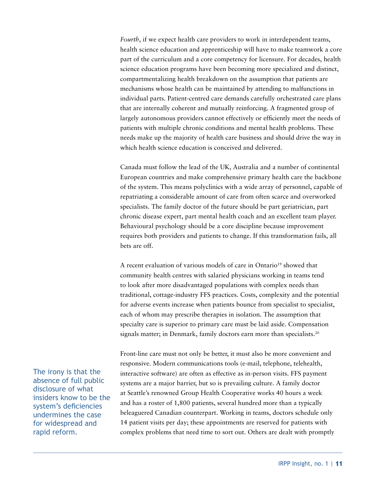*Fourth*, if we expect health care providers to work in interdependent teams, health science education and apprenticeship will have to make teamwork a core part of the curriculum and a core competency for licensure. For decades, health science education programs have been becoming more specialized and distinct, compartmentalizing health breakdown on the assumption that patients are mechanisms whose health can be maintained by attending to malfunctions in individual parts. Patient-centred care demands carefully orchestrated care plans that are internally coherent and mutually reinforcing. A fragmented group of largely autonomous providers cannot effectively or efficiently meet the needs of patients with multiple chronic conditions and mental health problems. These needs make up the majority of health care business and should drive the way in which health science education is conceived and delivered.

Canada must follow the lead of the UK, Australia and a number of continental European countries and make comprehensive primary health care the backbone of the system. This means polyclinics with a wide array of personnel, capable of repatriating a considerable amount of care from often scarce and overworked specialists. The family doctor of the future should be part geriatrician, part chronic disease expert, part mental health coach and an excellent team player. Behavioural psychology should be a core discipline because improvement requires both providers and patients to change. If this transformation fails, all bets are off.

A recent evaluation of various models of care in Ontario<sup>19</sup> showed that community health centres with salaried physicians working in teams tend to look after more disadvantaged populations with complex needs than traditional, cottage-industry FFS practices. Costs, complexity and the potential for adverse events increase when patients bounce from specialist to specialist, each of whom may prescribe therapies in isolation. The assumption that specialty care is superior to primary care must be laid aside. Compensation signals matter; in Denmark, family doctors earn more than specialists.<sup>20</sup>

Front-line care must not only be better, it must also be more convenient and responsive. Modern communications tools (e-mail, telephone, telehealth, interactive software) are often as effective as in-person visits. FFS payment systems are a major barrier, but so is prevailing culture. A family doctor at Seattle's renowned Group Health Cooperative works 40 hours a week and has a roster of 1,800 patients, several hundred more than a typically beleaguered Canadian counterpart. Working in teams, doctors schedule only 14 patient visits per day; these appointments are reserved for patients with complex problems that need time to sort out. Others are dealt with promptly

The irony is that the absence of full public disclosure of what insiders know to be the system's deficiencies undermines the case for widespread and rapid reform.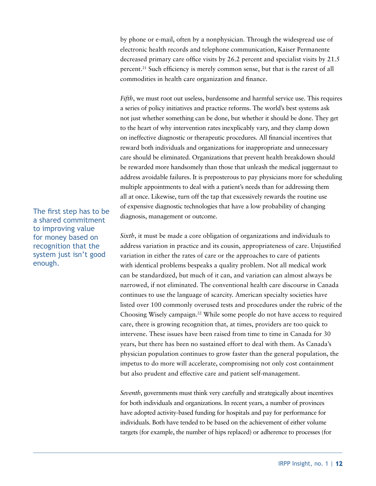by phone or e-mail, often by a nonphysician. Through the widespread use of electronic health records and telephone communication, Kaiser Permanente decreased primary care office visits by 26.2 percent and specialist visits by 21.5 percent.21 Such efficiency is merely common sense, but that is the rarest of all commodities in health care organization and finance.

*Fifth*, we must root out useless, burdensome and harmful service use. This requires a series of policy initiatives and practice reforms. The world's best systems ask not just whether something can be done, but whether it should be done. They get to the heart of why intervention rates inexplicably vary, and they clamp down on ineffective diagnostic or therapeutic procedures. All financial incentives that reward both individuals and organizations for inappropriate and unnecessary care should be eliminated. Organizations that prevent health breakdown should be rewarded more handsomely than those that unleash the medical juggernaut to address avoidable failures. It is preposterous to pay physicians more for scheduling multiple appointments to deal with a patient's needs than for addressing them all at once. Likewise, turn off the tap that excessively rewards the routine use of expensive diagnostic technologies that have a low probability of changing diagnosis, management or outcome.

*Sixth*, it must be made a core obligation of organizations and individuals to address variation in practice and its cousin, appropriateness of care. Unjustified variation in either the rates of care or the approaches to care of patients with identical problems bespeaks a quality problem. Not all medical work can be standardized, but much of it can, and variation can almost always be narrowed, if not eliminated. The conventional health care discourse in Canada continues to use the language of scarcity. American specialty societies have listed over 100 commonly overused tests and procedures under the rubric of the Choosing Wisely campaign.22 While some people do not have access to required care, there is growing recognition that, at times, providers are too quick to intervene. These issues have been raised from time to time in Canada for 30 years, but there has been no sustained effort to deal with them. As Canada's physician population continues to grow faster than the general population, the impetus to do more will accelerate, compromising not only cost containment but also prudent and effective care and patient self-management.

*Seventh*, governments must think very carefully and strategically about incentives for both individuals and organizations. In recent years, a number of provinces have adopted activity-based funding for hospitals and pay for performance for individuals. Both have tended to be based on the achievement of either volume targets (for example, the number of hips replaced) or adherence to processes (for

The first step has to be a shared commitment to improving value for money based on recognition that the system just isn't good enough.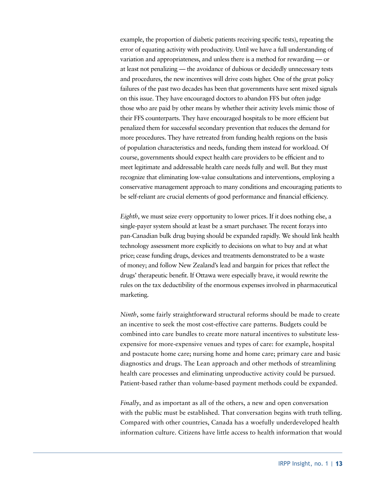example, the proportion of diabetic patients receiving specific tests), repeating the error of equating activity with productivity. Until we have a full understanding of variation and appropriateness, and unless there is a method for rewarding — or at least not penalizing — the avoidance of dubious or decidedly unnecessary tests and procedures, the new incentives will drive costs higher. One of the great policy failures of the past two decades has been that governments have sent mixed signals on this issue. They have encouraged doctors to abandon FFS but often judge those who are paid by other means by whether their activity levels mimic those of their FFS counterparts. They have encouraged hospitals to be more efficient but penalized them for successful secondary prevention that reduces the demand for more procedures. They have retreated from funding health regions on the basis of population characteristics and needs, funding them instead for workload. Of course, governments should expect health care providers to be efficient and to meet legitimate and addressable health care needs fully and well. But they must recognize that eliminating low-value consultations and interventions, employing a conservative management approach to many conditions and encouraging patients to be self-reliant are crucial elements of good performance and financial efficiency.

*Eighth*, we must seize every opportunity to lower prices. If it does nothing else, a single-payer system should at least be a smart purchaser. The recent forays into pan-Canadian bulk drug buying should be expanded rapidly. We should link health technology assessment more explicitly to decisions on what to buy and at what price; cease funding drugs, devices and treatments demonstrated to be a waste of money; and follow New Zealand's lead and bargain for prices that reflect the drugs' therapeutic benefit. If Ottawa were especially brave, it would rewrite the rules on the tax deductibility of the enormous expenses involved in pharmaceutical marketing.

*Ninth*, some fairly straightforward structural reforms should be made to create an incentive to seek the most cost-effective care patterns. Budgets could be combined into care bundles to create more natural incentives to substitute lessexpensive for more-expensive venues and types of care: for example, hospital and postacute home care; nursing home and home care; primary care and basic diagnostics and drugs. The Lean approach and other methods of streamlining health care processes and eliminating unproductive activity could be pursued. Patient-based rather than volume-based payment methods could be expanded.

*Finally*, and as important as all of the others, a new and open conversation with the public must be established. That conversation begins with truth telling. Compared with other countries, Canada has a woefully underdeveloped health information culture. Citizens have little access to health information that would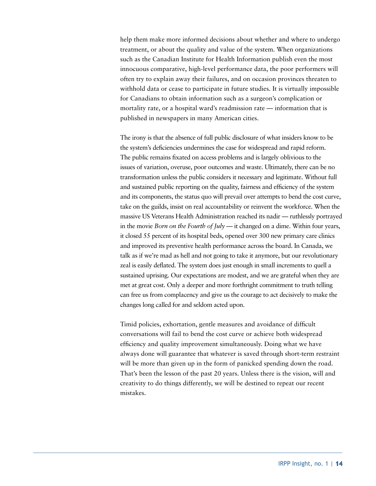help them make more informed decisions about whether and where to undergo treatment, or about the quality and value of the system. When organizations such as the Canadian Institute for Health Information publish even the most innocuous comparative, high-level performance data, the poor performers will often try to explain away their failures, and on occasion provinces threaten to withhold data or cease to participate in future studies. It is virtually impossible for Canadians to obtain information such as a surgeon's complication or mortality rate, or a hospital ward's readmission rate — information that is published in newspapers in many American cities.

The irony is that the absence of full public disclosure of what insiders know to be the system's deficiencies undermines the case for widespread and rapid reform. The public remains fixated on access problems and is largely oblivious to the issues of variation, overuse, poor outcomes and waste. Ultimately, there can be no transformation unless the public considers it necessary and legitimate. Without full and sustained public reporting on the quality, fairness and efficiency of the system and its components, the status quo will prevail over attempts to bend the cost curve, take on the guilds, insist on real accountability or reinvent the workforce. When the massive US Veterans Health Administration reached its nadir — ruthlessly portrayed in the movie *Born on the Fourth of July* — it changed on a dime. Within four years, it closed 55 percent of its hospital beds, opened over 300 new primary care clinics and improved its preventive health performance across the board. In Canada, we talk as if we're mad as hell and not going to take it anymore, but our revolutionary zeal is easily deflated. The system does just enough in small increments to quell a sustained uprising. Our expectations are modest, and we are grateful when they are met at great cost. Only a deeper and more forthright commitment to truth telling can free us from complacency and give us the courage to act decisively to make the changes long called for and seldom acted upon.

Timid policies, exhortation, gentle measures and avoidance of difficult conversations will fail to bend the cost curve or achieve both widespread efficiency and quality improvement simultaneously. Doing what we have always done will guarantee that whatever is saved through short-term restraint will be more than given up in the form of panicked spending down the road. That's been the lesson of the past 20 years. Unless there is the vision, will and creativity to do things differently, we will be destined to repeat our recent mistakes.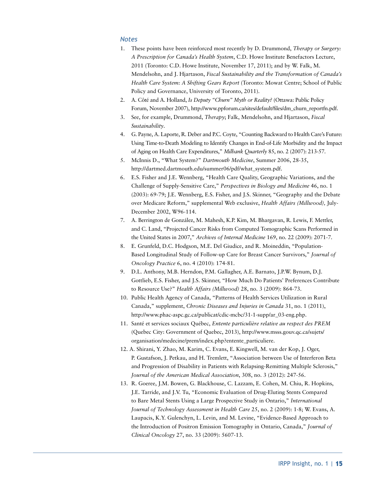#### *Notes*

- 1. These points have been reinforced most recently by D. Drummond, *Therapy or Surgery: A Prescription for Canada's Health System*, C.D. Howe Institute Benefactors Lecture, 2011 (Toronto: C.D. Howe Institute, November 17, 2011); and by W. Falk, M. Mendelsohn, and J. Hjartason, *Fiscal Sustainability and the Transformation of Canada's Health Care System: A Shifting Gears Report* (Toronto: Mowat Centre; School of Public Policy and Governance, University of Toronto, 2011).
- 2. A. Côté and A. Holland, *Is Deputy "Churn" Myth or Reality?* (Ottawa: Public Policy Forum, November 2007), [http://www.ppforum.ca/sites/default/files/dm\\_churn\\_reportfn.pdf](http://www.ppforum.ca/sites/default/files/dm_churn_reportfn.pdf).
- 3. See, for example, Drummond, *Therapy*; Falk, Mendelsohn, and Hjartason, *Fiscal Sustainability*.
- 4. G. Payne, A. Laporte, R. Deber and P.C. Coyte, "Counting Backward to Health Care's Future: Using Time-to-Death Modeling to Identify Changes in End-of-Life Morbidity and the Impact of Aging on Health Care Expenditures," *Milbank Quarterly* 85, no. 2 (2007): 213-57.
- 5. McInnis D., "What System?" *Dartmouth Medicine*, Summer 2006, 28-35, http://dartmed.dartmouth.edu/summer06/pdf/what\_system.pdf.
- 6. E.S. Fisher and J.E. Wennberg, "Health Care Quality, Geographic Variations, and the Challenge of Supply-Sensitive Care," *Perspectives in Biology and Medicine* 46, no. 1 (2003): 69-79; J.E. Wennberg, E.S. Fisher, and J.S. [Skinner,](http://www.ncbi.nlm.nih.gov/pubmed?term=%22Skinner JS%22%5BAuthor%5D) "Geography and the Debate over Medicare Reform," supplemental Web exclusive, *Health Affairs (Millwood),* July-December 2002, W96-114.
- 7. A. Berrington de González, M. Mahesh, K.P. Kim, M. Bhargavan, R. Lewis, F. Mettler, and C. Land, "Projected Cancer Risks from Computed Tomographic Scans Performed in the United States in 2007," *Archives of Internal Medicine* 169, no. 22 (2009): 2071-7.
- 8. E. Grunfeld, D.C. Hodgson, M.E. [Del Giudice,](http://www.ncbi.nlm.nih.gov/pubmed?term=Del Giudice ME%5BAuthor%5D&cauthor=true&cauthor_uid=21037867) and R. [Moineddin](http://www.ncbi.nlm.nih.gov/pubmed?term=Moineddin R%5BAuthor%5D&cauthor=true&cauthor_uid=21037867), "Population-Based Longitudinal Study of Follow-up Care for Breast Cancer Survivors," *Journal of Oncology Practice* 6, no. 4 (2010): 174-81.
- 9. D.L. Anthony, M.B. Herndon, P.M. Gallagher, A.E. Barnato, J.P.W. Bynum, D.J. Gottlieb, E.S. Fisher, and J.S. Skinner, "How Much Do Patients' Preferences Contribute to Resource Use?" *Health Affairs (Millwood)* 28, no. 3 (2009): 864-73.
- 10. Public Health Agency of Canada, "Patterns of Health Services Utilization in Rural Canada," supplement, *Chronic Diseases and Injuries in Canada* 31, no. 1 (2011), http://www.phac-aspc.gc.ca/publicat/cdic-mcbc/31-1-supp/ar\_03-eng.php.
- 11. Santé et services sociaux Québec, *Entente particulière relative au respect des PREM* (Quebec City: Government of Quebec, 2013), [http://www.msss.gouv.qc.ca/sujets/](http://www.msss.gouv.qc.ca/sujets/organisation/) [organisation/m](http://www.msss.gouv.qc.ca/sujets/organisation/)edecine/prem/index.php?entente\_particuliere.
- 12. A. Shirani, Y. Zhao, M. Karim, C. Evans, E. Kingwell, M. van der Kop, J. Oger, P. Gustafson, J. Petkau, and H. Tremlett, "Association between Use of Interferon Beta and Progression of Disability in Patients with Relapsing-Remitting Multiple Sclerosis," *Journal of the American Medical Association*, 308, no. 3 (2012): 247-56.
- 13. R. Goeree, J.M. Bowen, G. Blackhouse, C. Lazzam, E. Cohen, M. Chiu, R. Hopkins, J.E. Tarride, and J.V. Tu, "Economic Evaluation of Drug-Eluting Stents Compared to Bare Metal Stents Using a Large Prospective Study in Ontario," *International Journal of Technology Assessment in Health Care* 25, no. 2 (2009): 1-8; W. Evans, A. Laupacis, K.Y. Gulenchyn, L. Levin, and M. Levine, "Evidence-Based Approach to the Introduction of Positron Emission Tomography in Ontario, Canada," *Journal of Clinical Oncology* 27, no. 33 (2009): 5607-13.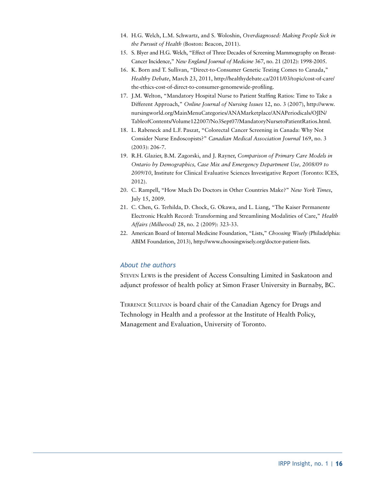- 14. H.G. Welch, L.M. Schwartz, and S. Woloshin, *Overdiagnosed: Making People Sick in the Pursuit of Health* (Boston: Beacon, 2011).
- 15. S. Blyer and H.G. Welch, "Effect of Three Decades of Screening Mammography on Breast-Cancer Incidence," *New England Journal of Medicine* 367, no. 21 (2012): 1998-2005.
- 16. K. Born and T. Sullivan, "Direct-to-Consumer Genetic Testing Comes to Canada," *Healthy Debate*, March 23, 2011, http://healthydebate.ca/2011/03/topic/cost-of-care/ the-ethics-cost-of-direct-to-consumer-genomewide-profiling.
- 17. J.M. Welton, "Mandatory Hospital Nurse to Patient Staffing Ratios: Time to Take a Different Approach," *Online Journal of Nursing Issues* 12, no. 3 (2007), http://www. nursingworld.org/MainMenuCategories/ANAMarketplace/ANAPeriodicals/OJIN/ TableofContents/Volume122007/No3Sept07/MandatoryNursetoPatientRatios.html.
- 18. L. Rabeneck and L.F. Paszat, "Colorectal Cancer Screening in Canada: Why Not Consider Nurse Endoscopists?" *Canadian Medical Association Journal* 169, no. 3 (2003): 206-7.
- 19. R.H. Glazier, B.M. Zagorski, and J. Rayner, *Comparison of Primary Care Models in Ontario by Demographics, Case Mix and Emergency Department Use, 2008/09 to 2009/10*, Institute for Clinical Evaluative Sciences Investigative Report (Toronto: ICES, 2012).
- 20. C. Rampell, "How Much Do Doctors in Other Countries Make?" *New York Times*, July 15, 2009.
- 21. C. Chen, G. Terhilda, D. Chock, G. Okawa, and L. Liang, "The Kaiser Permanente Electronic Health Record: Transforming and Streamlining Modalities of Care," *Health Affairs (Millwood)* 28, no. 2 (2009): 323-33.
- 22. American Board of Internal Medicine Foundation, "Lists," *Choosing Wisely* (Philadelphia: ABIM Foundation, 2013), http://www.choosingwisely.org/doctor-patient-lists.

#### *About the authors*

Steven Lewis is the president of Access Consulting Limited in Saskatoon and adjunct professor of health policy at Simon Fraser University in Burnaby, BC.

Terrence Sullivan is board chair of the Canadian Agency for Drugs and Technology in Health and a professor at the Institute of Health Policy, Management and Evaluation, University of Toronto.